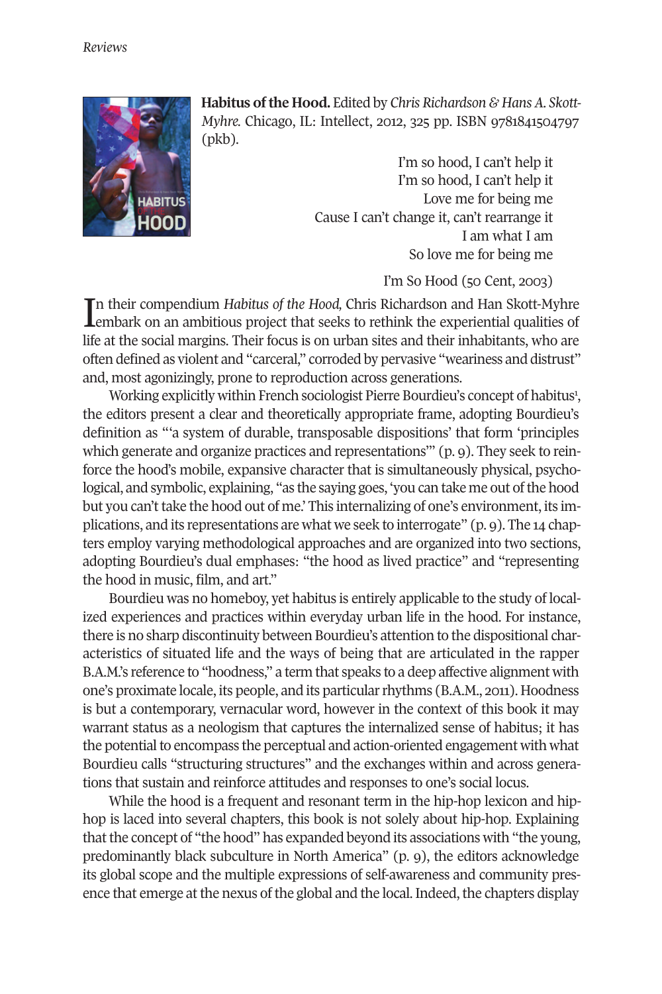

Habitus of the Hood. Edited by *Chris Richardson & Hans A. Skott-Myhre.* Chicago, IL: Intellect, 2012, 325 pp. ISBN 9781841504797 (pkb).

> I'm so hood, I can't help it I'm so hood, I can't help it Love me for being me Cause I can't change it, can't rearrange it I am what I am So love me for being me

> > I'm So Hood (50 Cent, 2003)

In their compendium Habitus of the Hood, Chris Richardson and Han Skott-Myhre<br>Lembark on an ambitious project that seeks to rethink the experiential qualities of n their compendium *Habitus of the Hood,* Chris Richardson and Han Skott-Myhre life at the social margins. Their focus is on urban sites and their inhabitants, who are often defined as violent and "carceral," corroded by pervasive "weariness and distrust" and, most agonizingly, prone to reproduction across generations.

Working explicitly within French sociologist Pierre Bourdieu's concept of habitus<sup>1</sup>, the editors present a clear and theoretically appropriate frame, adopting Bourdieu's definition as "'a system of durable, transposable dispositions' that form 'principles which generate and organize practices and representations'" (p. 9). They seek to reinforce the hood's mobile, expansive character that is simultaneously physical, psychological, and symbolic, explaining, "as the saying goes, 'you can take me out ofthe hood but you can't take the hood out of me.' This internalizing of one's environment, its implications, and its representations are what we seek to interrogate"  $(p, q)$ . The 14 chapters employ varying methodological approaches and are organized into two sections, adopting Bourdieu's dual emphases: "the hood as lived practice" and "representing the hood in music, film, and art."

Bourdieu was no homeboy, yet habitus is entirely applicable to the study of localized experiences and practices within everyday urban life in the hood. For instance, there is no sharp discontinuity between Bourdieu's attention to the dispositional characteristics of situated life and the ways of being that are articulated in the rapper B.A.M.'s reference to "hoodness," a term that speaks to a deep affective alignment with one's proximate locale, its people, and its particularrhythms (B.A.M., 2011). Hoodness is but a contemporary, vernacular word, however in the context of this book it may warrant status as a neologism that captures the internalized sense of habitus; it has the potential to encompass the perceptual and action-oriented engagement with what Bourdieu calls "structuring structures" and the exchanges within and across generations that sustain and reinforce attitudes and responses to one's social locus.

While the hood is a frequent and resonant term in the hip-hop lexicon and hiphop is laced into several chapters, this book is not solely about hip-hop. Explaining that the concept of "the hood" has expanded beyond its associations with "the young, predominantly black subculture in North America" (p. 9), the editors acknowledge its global scope and the multiple expressions of self-awareness and community presence that emerge at the nexus of the global and the local. Indeed, the chapters display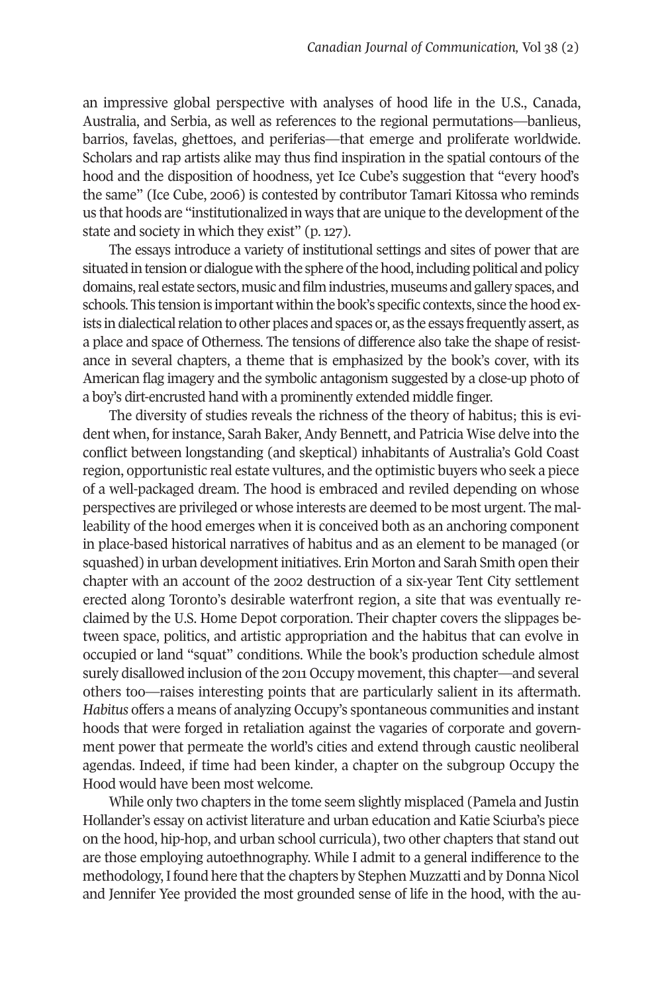an impressive global perspective with analyses of hood life in the U.S., Canada, Australia, and Serbia, as well as references to the regional permutations—banlieus, barrios, favelas, ghettoes, and periferias—that emerge and proliferate worldwide. Scholars and rap artists alike may thus find inspiration in the spatial contours of the hood and the disposition of hoodness, yet Ice Cube's suggestion that "every hood's the same" (Ice Cube, 2006) is contested by contributor Tamari Kitossa who reminds us that hoods are "institutionalized in ways that are unique to the development of the state and society in which they exist" (p. 127).

The essays introduce a variety of institutional settings and sites of power that are situated in tension or dialogue with the sphere of the hood, including political and policy domains, real estate sectors, music and film industries, museums and gallery spaces, and schools. This tension is important within the book's specific contexts, since the hood exists in dialectical relation to other places and spaces or, as the essays frequently assert, as a place and space of Otherness. The tensions of difference also take the shape of resistance in several chapters, a theme that is emphasized by the book's cover, with its American flag imagery and the symbolic antagonism suggested by a close-up photo of a boy's dirt-encrusted hand with a prominently extended middle finger.

The diversity of studies reveals the richness of the theory of habitus; this is evident when, for instance, Sarah Baker, Andy Bennett, and Patricia Wise delve into the conflict between longstanding (and skeptical) inhabitants of Australia's Gold Coast region, opportunistic real estate vultures, and the optimistic buyers who seek a piece of a well-packaged dream. The hood is embraced and reviled depending on whose perspectives are privileged or whose interests are deemed to be most urgent. The malleability of the hood emerges when it is conceived both as an anchoring component in place-based historical narratives of habitus and as an element to be managed (or squashed) in urban development initiatives. Erin Morton and Sarah Smith open their chapter with an account of the 2002 destruction of a six-year Tent City settlement erected along Toronto's desirable waterfront region, a site that was eventually reclaimed by the U.S. Home Depot corporation. Their chapter covers the slippages between space, politics, and artistic appropriation and the habitus that can evolve in occupied or land "squat" conditions. While the book's production schedule almost surely disallowed inclusion of the 2011 Occupy movement, this chapter—and several others too—raises interesting points that are particularly salient in its aftermath. *Habitus* offers a means of analyzing Occupy's spontaneous communities and instant hoods that were forged in retaliation against the vagaries of corporate and government power that permeate the world's cities and extend through caustic neoliberal agendas. Indeed, if time had been kinder, a chapter on the subgroup Occupy the Hood would have been most welcome.

While only two chapters in the tome seem slightly misplaced (Pamela and Justin Hollander's essay on activist literature and urban education and Katie Sciurba's piece on the hood, hip-hop, and urban school curricula), two other chapters that stand out are those employing autoethnography. While I admit to a general indifference to the methodology, I found here that the chapters by Stephen Muzzatti and by Donna Nicol and Jennifer Yee provided the most grounded sense of life in the hood, with the au